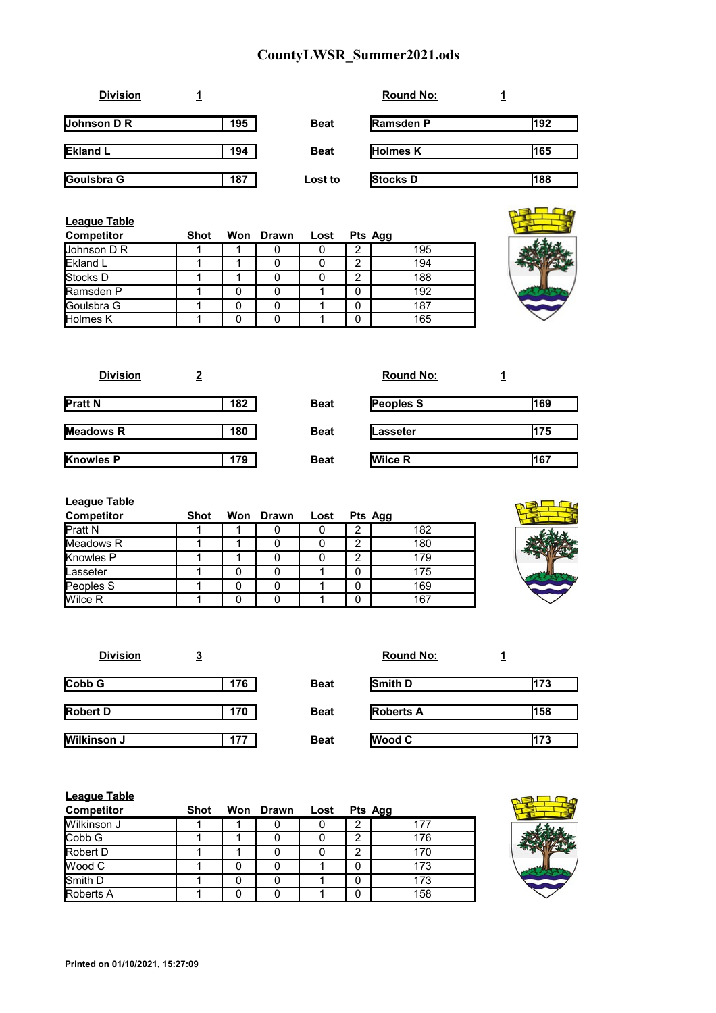| <b>Division</b>    |     |             | <b>Round No:</b> |     |
|--------------------|-----|-------------|------------------|-----|
| <b>Johnson D R</b> | 195 | <b>Beat</b> | <b>Ramsden P</b> | 192 |
| <b>Ekland L</b>    | 194 | <b>Beat</b> | <b>Holmes K</b>  | 165 |
| Goulsbra G         | 187 | Lost to     | <b>Stocks D</b>  | 188 |

| <b>League Table</b> |      |                |   |         |  |
|---------------------|------|----------------|---|---------|--|
| <b>Competitor</b>   | Shot | Won Drawn Lost |   | Pts Agg |  |
| Johnson D R         |      |                |   | 195     |  |
| <b>Ekland L</b>     |      |                | ⌒ | 194     |  |
| Stocks D            |      |                | ◠ | 188     |  |
| Ramsden P           |      |                |   | 192     |  |
| <b>IGoulsbra G</b>  |      |                |   | 187     |  |
| <b>Holmes K</b>     |      |                |   | 165     |  |



| <b>Division</b>  |     |             | <b>Round No:</b> |     |
|------------------|-----|-------------|------------------|-----|
| <b>Pratt N</b>   | 182 | <b>Beat</b> | <b>Peoples S</b> | 169 |
| <b>Meadows R</b> | 180 | <b>Beat</b> | Lasseter         | 175 |
| <b>Knowles P</b> | 179 | <b>Beat</b> | <b>Wilce R</b>   | 167 |

| <b>League Table</b> |      |   |                |         |     |
|---------------------|------|---|----------------|---------|-----|
| <b>Competitor</b>   | Shot |   | Won Drawn Lost | Pts Agg |     |
| <b>Pratt N</b>      |      |   |                | 2       | 182 |
| Meadows R           |      |   |                | 2       | 180 |
| Knowles P           |      |   |                | 2       | 179 |
| Lasseter            |      | 0 | 0              | 0       | 175 |
| Peoples S           |      |   | 0              | 0       | 169 |
| Wilce R             |      |   |                | 0       | 167 |



| <b>Division</b>    | <u>3</u> |             | <b>Round No:</b> |     |
|--------------------|----------|-------------|------------------|-----|
| CobbG              | 176      | <b>Beat</b> | Smith D          | 173 |
| <b>Robert D</b>    | 170      | <b>Beat</b> | <b>Roberts A</b> | 158 |
| <b>Wilkinson J</b> | 177      | <b>Beat</b> | <b>Wood C</b>    | 173 |

| <b>League Table</b> |      |           |      |        |         |
|---------------------|------|-----------|------|--------|---------|
| <b>Competitor</b>   | Shot | Won Drawn | Lost |        | Pts Agg |
| Wilkinson J         |      |           |      | 2      | 177     |
| <b>Cobb G</b>       |      |           |      | っ<br>▵ | 176     |
| Robert D            |      |           |      | າ      | 170     |
| <b>IWood C</b>      |      |           |      | 0      | 173     |
| Smith D             |      |           |      | 0      | 173     |
| <b>Roberts A</b>    |      |           |      | 0      | 158     |

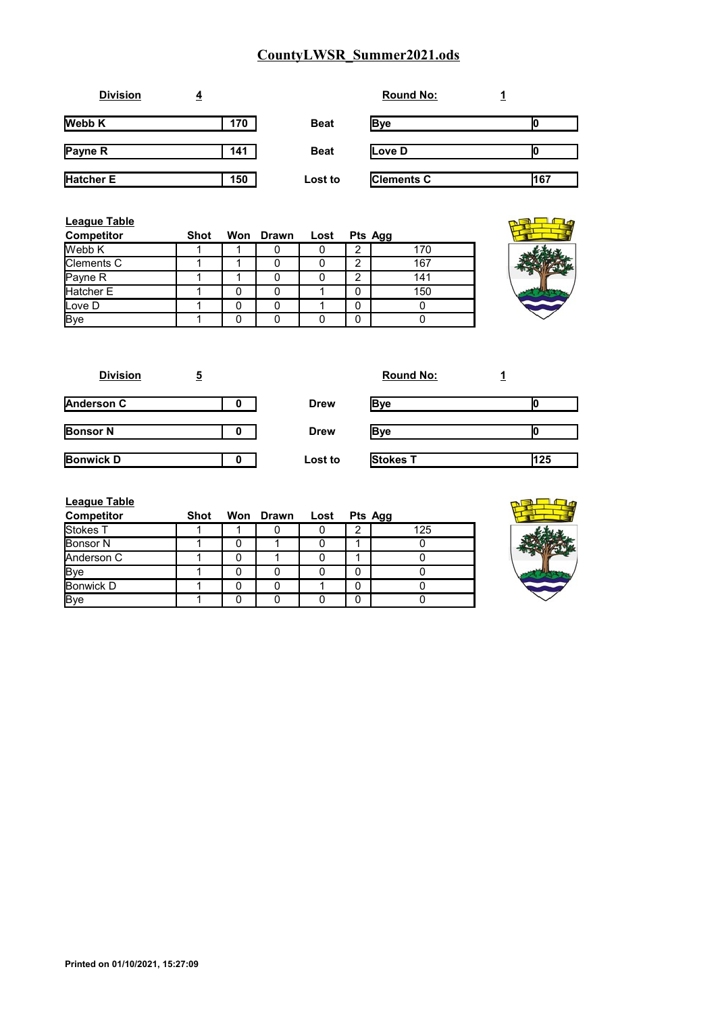| <b>Division</b>  | <u>4</u> |             | <b>Round No:</b>  |     |
|------------------|----------|-------------|-------------------|-----|
| <b>Webb K</b>    | 170      | <b>Beat</b> | <b>Bye</b>        |     |
| Payne R          | 141      | <b>Beat</b> | Love D            |     |
| <b>Hatcher E</b> | 150      | Lost to     | <b>Clements C</b> | 167 |

| <b>League Table</b><br><b>Competitor</b> | Shot |   | Won Drawn | Lost |   | Pts Agg |
|------------------------------------------|------|---|-----------|------|---|---------|
| Webb K                                   |      |   |           |      | າ | 170     |
| <b>Clements C</b>                        |      |   |           |      | ົ | 167     |
| Payne R                                  |      |   |           |      | റ | 141     |
| Hatcher E                                |      |   |           |      | 0 | 150     |
| Love D                                   |      | 0 |           |      | 0 |         |
| Bye                                      |      | 0 |           |      | 0 |         |

| <b>Division</b>  | 5 |             | <b>Round No:</b> |     |
|------------------|---|-------------|------------------|-----|
| Anderson C       |   | <b>Drew</b> | <b>Bye</b>       |     |
| <b>Bonsor N</b>  | o | <b>Drew</b> | Bve              |     |
| <b>Bonwick D</b> | o | Lost to     | Stokes T         | 125 |

| <b>League Table</b> |      |                |         |     |
|---------------------|------|----------------|---------|-----|
| <b>Competitor</b>   | Shot | Won Drawn Lost | Pts Agg |     |
| Stokes T            |      |                |         | 125 |
| <b>Bonsor N</b>     |      |                |         |     |
| Anderson C          |      |                |         |     |
| <b>Bye</b>          |      |                |         |     |
| Bonwick D           |      |                |         |     |
| <b>Bye</b>          |      |                |         |     |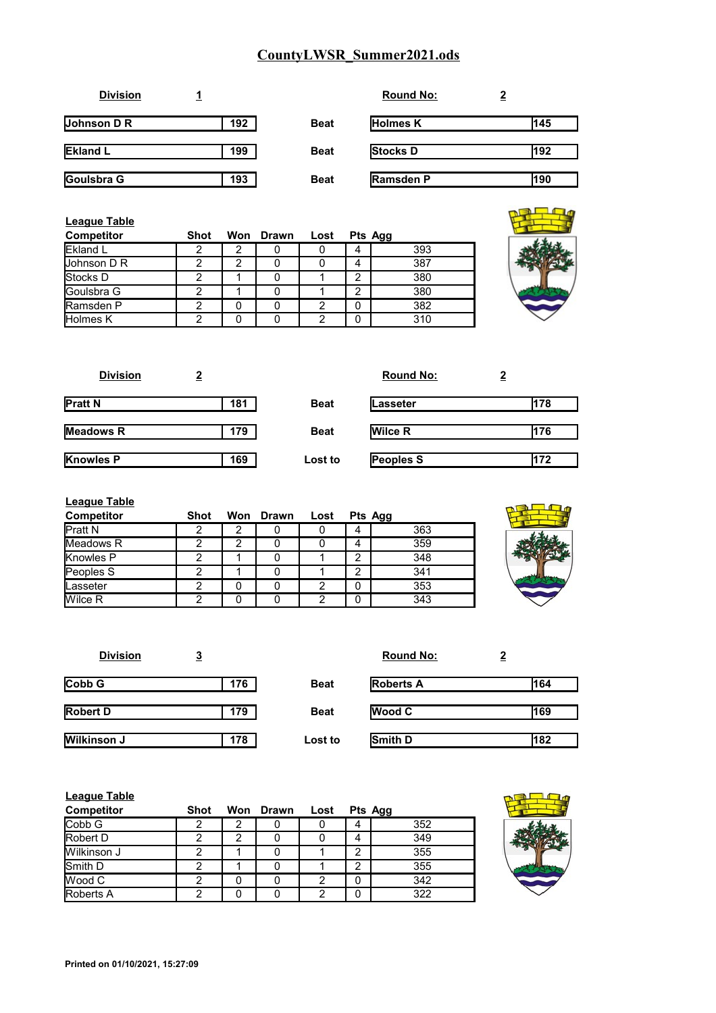| <b>Division</b>          |     |             | <b>Round No:</b> | $\overline{\mathbf{2}}$ |
|--------------------------|-----|-------------|------------------|-------------------------|
| Johnson D $\overline{R}$ | 192 | <b>Beat</b> | <b>Holmes K</b>  | 145                     |
| <b>Ekland L</b>          | 199 | <b>Beat</b> | Stocks D         | 192                     |
| Goulsbra G               | 193 | <b>Beat</b> | <b>Ramsden P</b> | 190                     |

| <b>League Table</b> |      |           |      |   |         |    |
|---------------------|------|-----------|------|---|---------|----|
| <b>Competitor</b>   | Shot | Won Drawn | Lost |   | Pts Agg |    |
| Ekland L            |      |           |      |   | 393     |    |
| Johnson D R         |      |           |      |   | 387     | ÷, |
| Stocks D            |      |           |      | ◠ | 380     |    |
| Goulsbra G          |      |           |      | ◠ | 380     |    |
| Ramsden P           |      |           |      |   | 382     |    |
| <b>Holmes K</b>     |      |           |      |   | 310     |    |

| <b>Division</b>  |     |             | <b>Round No:</b> |     |
|------------------|-----|-------------|------------------|-----|
| <b>Pratt N</b>   | 181 | <b>Beat</b> | lLasseter        | 178 |
| Meadows R        | 179 | <b>Beat</b> | <b>Wilce R</b>   | 176 |
| <b>Knowles P</b> | 169 | Lost to     | <b>Peoples S</b> | 172 |

| <b>League Table</b> |             |   |           |      |   |         |
|---------------------|-------------|---|-----------|------|---|---------|
| <b>Competitor</b>   | <b>Shot</b> |   | Won Drawn | Lost |   | Pts Agg |
| <b>IPratt N</b>     |             |   |           |      | 4 | 363     |
| <b>IMeadows R</b>   |             | ົ |           |      | 4 | 359     |
| Knowles P           | ⌒           |   |           |      | 2 | 348     |
| Peoples S           | ⌒           |   |           |      | າ | 341     |
| Lasseter            |             |   |           | 2    | 0 | 353     |
| Wilce R             | ◠           |   |           | 2    | 0 | 343     |

| <b>Division</b>    | <u>3</u> |             | <b>Round No:</b> | <u>2</u> |
|--------------------|----------|-------------|------------------|----------|
| Cobb G             | 176      | <b>Beat</b> | <b>Roberts A</b> | 164      |
| <b>Robert D</b>    | 179      | <b>Beat</b> | <b>Wood C</b>    | 169      |
| <b>Wilkinson J</b> | 178      | Lost to     | Smith D          | 182      |

| <b>League Table</b> |             |     |       |      |   |         |  |
|---------------------|-------------|-----|-------|------|---|---------|--|
| <b>Competitor</b>   | <b>Shot</b> | Won | Drawn | Lost |   | Pts Agg |  |
| Cobb G              |             | າ   |       |      | 4 | 352     |  |
| <b>Robert D</b>     |             | າ   |       |      | 4 | 349     |  |
| Wilkinson J         |             |     |       |      | っ | 355     |  |
| Smith D             |             |     |       |      | ◠ | 355     |  |
| <b>IWood C</b>      |             |     |       | ◠    | 0 | 342     |  |
| Roberts A           |             |     |       | ⌒    | 0 | 322     |  |



mal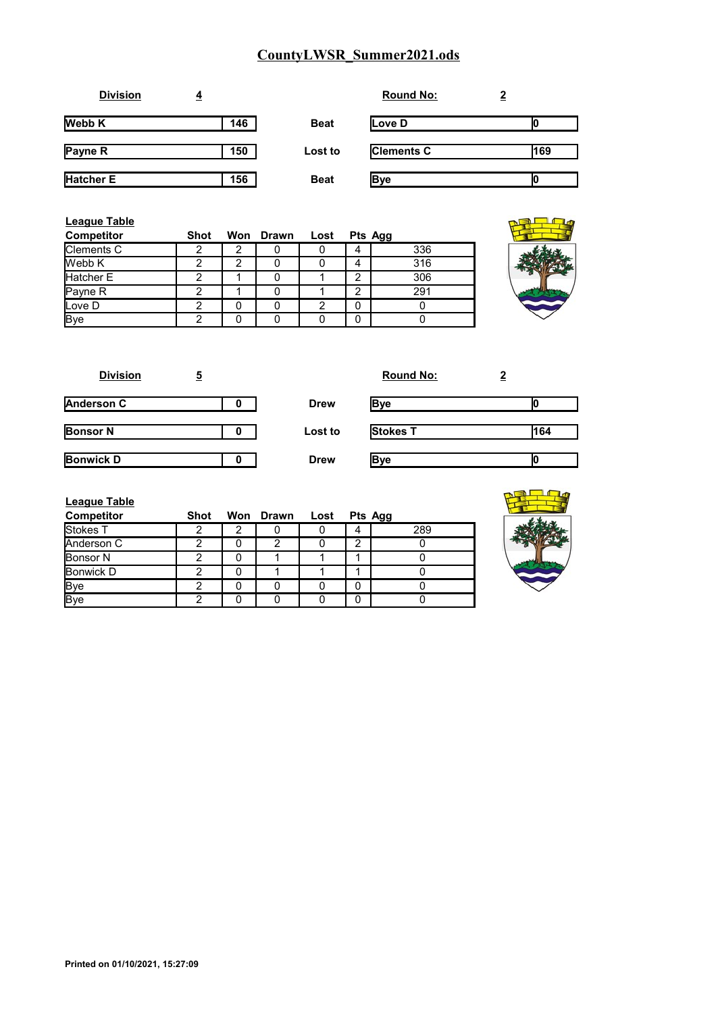| <b>Division</b>  | 4   |             | <b>Round No:</b>  | 2   |
|------------------|-----|-------------|-------------------|-----|
| <b>Webb K</b>    | 146 | <b>Beat</b> | Love D            |     |
| <b>Payne R</b>   | 150 | Lost to     | <b>Clements C</b> | 169 |
| <b>Hatcher E</b> | 156 | <b>Beat</b> | <b>Bye</b>        |     |

| League Table<br><b>Competitor</b> | <b>Shot</b> | Won Drawn | Lost |   | Pts Agg |
|-----------------------------------|-------------|-----------|------|---|---------|
| Clements C                        |             |           |      | 4 | 336     |
| Webb K                            |             |           |      | 4 | 316     |
| Hatcher E                         | ◠           |           |      | ◠ | 306     |
| Payne R                           |             |           |      | າ | 291     |
| Love D                            | ◠           |           |      | 0 |         |
| <b>Bye</b>                        |             |           |      |   |         |



| <b>Division</b>   | 5 |             | <b>Round No:</b> |     |
|-------------------|---|-------------|------------------|-----|
| <b>Anderson C</b> | O | <b>Drew</b> | Bye              |     |
| <b>Bonsor N</b>   | 0 | Lost to     | <b>Stokes T</b>  | 164 |
| <b>Bonwick D</b>  |   | <b>Drew</b> | Bve              |     |

| <b>League Table</b><br><b>Competitor</b> | Shot |   | Won Drawn Lost | Pts Agg |     |
|------------------------------------------|------|---|----------------|---------|-----|
| Stokes T                                 |      | 2 |                |         | 289 |
| Anderson C                               |      |   | っ              | ◠       |     |
| <b>Bonsor N</b>                          | າ    |   |                |         |     |
| Bonwick D                                | າ    |   |                |         |     |
| <b>Bye</b>                               | 2    |   |                | 0       |     |
| Bye                                      | າ    |   |                |         |     |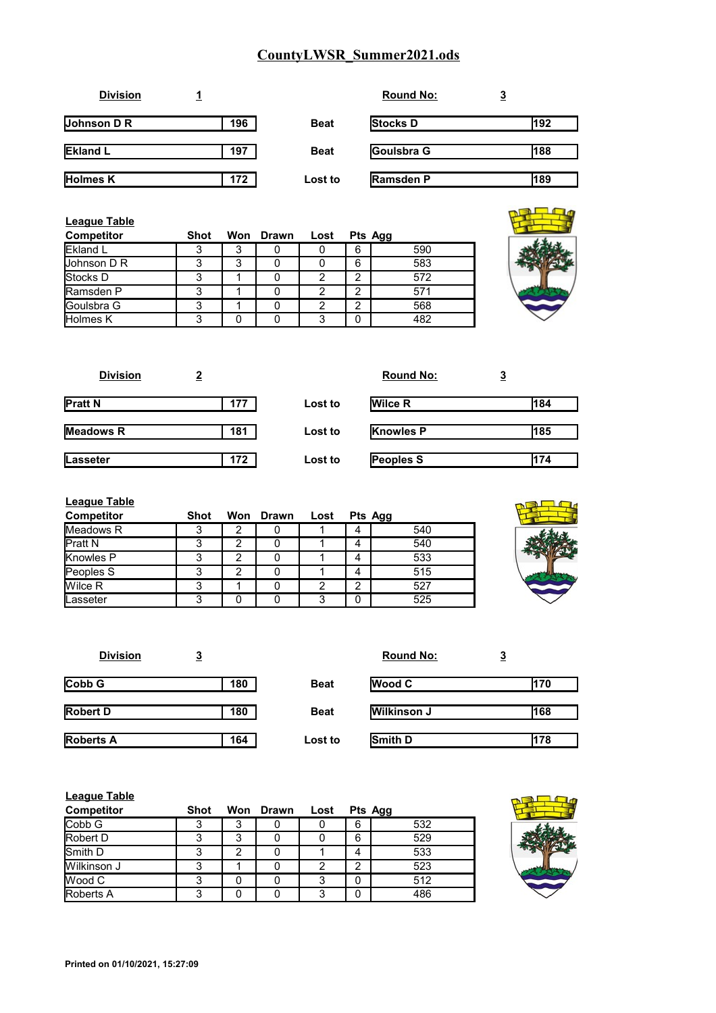| <b>Division</b>    |     |             | <b>Round No:</b> | <u>3</u> |
|--------------------|-----|-------------|------------------|----------|
| <b>Johnson D R</b> | 196 | <b>Beat</b> | <b>Stocks D</b>  | 192      |
| <b>Ekland L</b>    | 197 | <b>Beat</b> | Goulsbra G       | 188      |
| <b>Holmes K</b>    | 172 | Lost to     | <b>Ramsden P</b> | 189      |

| League Table<br><b>Competitor</b> | Shot |   | Won Drawn | Lost |                | Pts Agg |
|-----------------------------------|------|---|-----------|------|----------------|---------|
| <b>Ekland L</b>                   |      | 3 |           |      | 6              | 590     |
| <b>Johnson D R</b>                |      | 3 |           |      | 6              | 583     |
| <b>Stocks</b> D                   |      |   |           | 2    | 2              | 572     |
| Ramsden P                         |      |   |           | っ    | 2              | 571     |
| <b>IGoulsbra G</b>                |      |   |           |      | $\overline{2}$ | 568     |
| Holmes K                          |      |   |           | ◠    | 0              | 482     |

| <b>Division</b>  | 2   |         | <b>Round No:</b> | <u>3</u> |
|------------------|-----|---------|------------------|----------|
| <b>Pratt N</b>   | 177 | Lost to | <b>Wilce R</b>   | 184      |
| <b>Meadows R</b> | 181 | Lost to | <b>Knowles P</b> | 185      |
| Lasseter         | 172 | Lost to | Peoples S        | 174      |

| <b>League Table</b> |             |   |           |      |   |         |
|---------------------|-------------|---|-----------|------|---|---------|
| <b>Competitor</b>   | <b>Shot</b> |   | Won Drawn | Lost |   | Pts Agg |
| Meadows R           |             | 2 |           |      | 4 | 540     |
| <b>Pratt N</b>      | 3           | 2 |           |      | 4 | 540     |
| Knowles P           | っ           | 2 | 0         |      | 4 | 533     |
| Peoples S           | 3           | 2 |           |      | 4 | 515     |
| Wilce R             | 3           |   | 0         | 2    | 2 | 527     |
| Lasseter            | 3           |   |           | 3    | 0 | 525     |



| <b>Division</b>  | <u>3</u> |             | <b>Round No:</b>   | <u>3</u> |
|------------------|----------|-------------|--------------------|----------|
| Cobb G           | 180      | <b>Beat</b> | <b>Wood C</b>      | 170      |
| <b>Robert D</b>  | 180      | <b>Beat</b> | <b>Wilkinson J</b> | 168      |
| <b>Roberts A</b> | 164      | Lost to     | Smith D            | 178      |

| <b>League Table</b> |      |     |              |      |   |         |  |
|---------------------|------|-----|--------------|------|---|---------|--|
| <b>Competitor</b>   | Shot | Won | <b>Drawn</b> | Lost |   | Pts Agg |  |
| Cobb G              |      | 3   |              |      | 6 | 532     |  |
| <b>Robert D</b>     |      | 3   |              |      | 6 | 529     |  |
| Smith D             | ິ    | 2   |              |      | 4 | 533     |  |
| Wilkinson J         | ົ    |     |              |      | ◠ | 523     |  |
| <b>IWood C</b>      | 3    |     |              |      | 0 | 512     |  |
| <b>Roberts A</b>    | 3    |     |              |      | 0 | 486     |  |

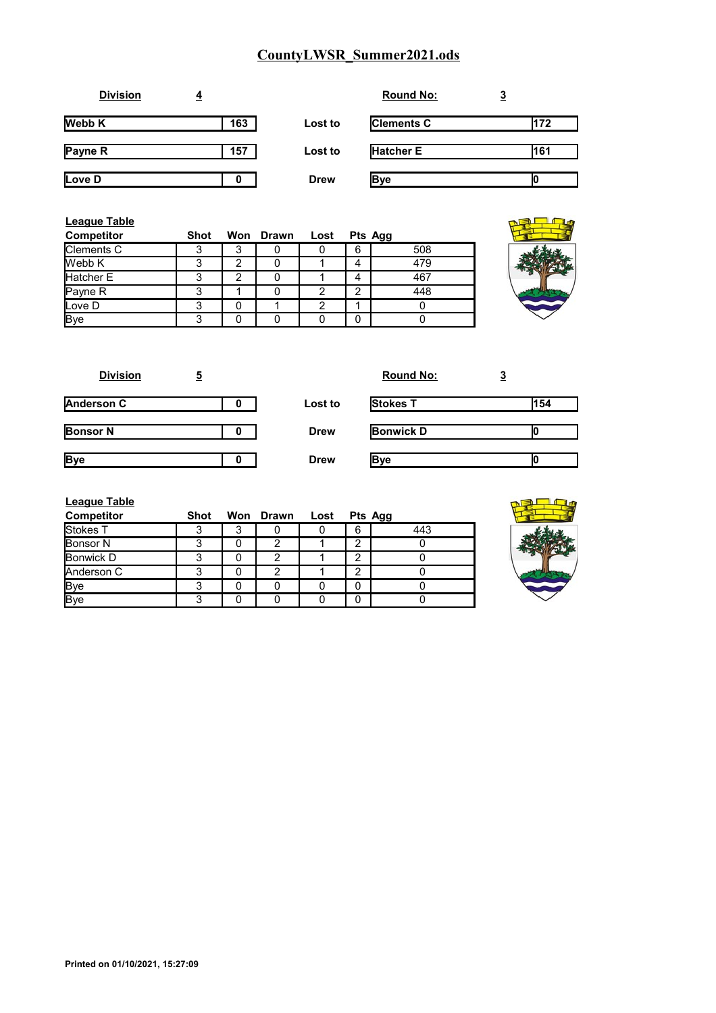| <b>Division</b> | 4   |             | <b>Round No:</b>  | <u>3</u> |
|-----------------|-----|-------------|-------------------|----------|
| <b>Webb K</b>   | 163 | Lost to     | <b>Clements C</b> | 172      |
| Payne R         | 157 | Lost to     | <b>Hatcher E</b>  | 161      |
| Love D          | 0   | <b>Drew</b> | <b>Bye</b>        | ιu       |

| League Table      |      |                |           |      |   |         |  |
|-------------------|------|----------------|-----------|------|---|---------|--|
| <b>Competitor</b> | Shot |                | Won Drawn | Lost |   | Pts Agg |  |
| Clements C        | ິ    | 3              |           |      | 6 | 508     |  |
| Webb K            | ◠    | 2              |           |      | 4 | 479     |  |
| Hatcher E         | ◠    | $\overline{2}$ |           |      | 4 | 467     |  |
| Payne R           |      |                |           | ⌒    | ◠ | 448     |  |
| Love D            | ິ    |                |           | 2    |   |         |  |
| <b>Bye</b>        | ◠    |                |           |      | 0 |         |  |

| <b>Division</b>   | 5 |             | <b>Round No:</b> | <u>3</u> |
|-------------------|---|-------------|------------------|----------|
| <b>Anderson C</b> |   | Lost to     | <b>Stokes T</b>  | 154      |
| <b>Bonsor N</b>   |   | <b>Drew</b> | <b>Bonwick D</b> |          |
| <b>Bye</b>        |   | <b>Drew</b> | <b>Bye</b>       |          |

| League Table      |             |        |           |      |   |         |
|-------------------|-------------|--------|-----------|------|---|---------|
| <b>Competitor</b> | <b>Shot</b> |        | Won Drawn | Lost |   | Pts Agg |
| Stokes T          | ◠           | ິ<br>د |           |      | 6 | 443     |
| <b>Bonsor N</b>   | っ           |        | ◠         |      | 2 |         |
| Bonwick D         | 3           |        | 2         |      | っ |         |
| Anderson C        | າ           |        | 2         |      | 2 |         |
| <b>Bye</b>        | 3           |        |           |      | 0 |         |
| <b>Bye</b>        | 3           |        |           |      |   |         |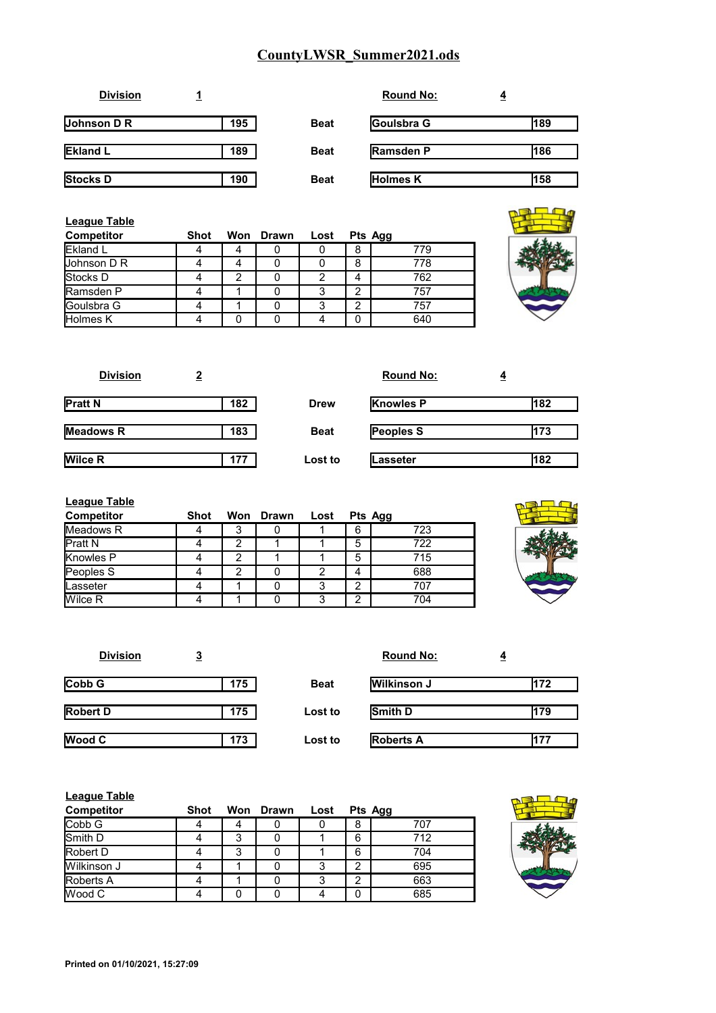| <b>Division</b>    |     |             | <b>Round No:</b> | <u>4</u> |
|--------------------|-----|-------------|------------------|----------|
| <b>Johnson D R</b> | 195 | <b>Beat</b> | Goulsbra G       | 189      |
| <b>Ekland L</b>    | 189 | <b>Beat</b> | <b>Ramsden P</b> | 186      |
| Stocks D           | 190 | <b>Beat</b> | Holmes K         | 158      |

| League Table<br><b>Competitor</b> | <b>Shot</b> |   | Won Drawn | Lost |   | Pts Agg |
|-----------------------------------|-------------|---|-----------|------|---|---------|
| <b>Ekland L</b>                   |             |   |           |      | 8 | 779     |
| Johnson D R                       |             |   |           |      | 8 | 778     |
| Stocks D                          |             | 2 |           | っ    | 4 | 762     |
| Ramsden P                         |             |   |           | ◠    | ◠ | 757     |
| Goulsbra G                        |             |   |           | ◠    | ◠ | 757     |
| Holmes K                          |             |   |           |      |   | 640     |

| <b>Division</b>  |     |             | <b>Round No:</b> | $\overline{4}$ |
|------------------|-----|-------------|------------------|----------------|
| <b>Pratt N</b>   | 182 | <b>Drew</b> | <b>Knowles P</b> | 182            |
| <b>Meadows R</b> | 183 | <b>Beat</b> | <b>Peoples S</b> | 173            |
| <b>Wilce R</b>   | 177 | Lost to     | Lasseter         | 182            |

| <b>League Table</b> |      |   |           |      |                |     |
|---------------------|------|---|-----------|------|----------------|-----|
| <b>Competitor</b>   | Shot |   | Won Drawn | Lost | Pts Agg        |     |
| Meadows R           |      | 3 |           |      | 6              | 723 |
| Pratt N             | 4    | 2 |           |      | 5              | 722 |
| Knowles P           |      | 2 |           |      | 5              | 715 |
| Peoples S           | 4    | 2 |           | 2    | 4              | 688 |
| lLasseter           | 4    |   |           | 3    | $\overline{2}$ | 707 |
| Wilce R             |      |   |           |      | っ              | 704 |



| <b>Division</b> | <u>3</u> |             | <b>Round No:</b>   | $\overline{4}$ |
|-----------------|----------|-------------|--------------------|----------------|
| Cobb G          | 175      | <b>Beat</b> | <b>Wilkinson J</b> | 172            |
| Robert D        | 175      | Lost to     | Smith D            | 179            |
| Wood C          | 173      | Lost to     | <b>Roberts A</b>   | 177            |

| <b>League Table</b> |      |     |              |      |        |         |    |
|---------------------|------|-----|--------------|------|--------|---------|----|
| <b>Competitor</b>   | Shot | Won | <b>Drawn</b> | Lost |        | Pts Agg |    |
| Cobb G              |      |     |              |      | 8      | 707     |    |
| Smith D             |      | 3   |              |      | 6      | 712     |    |
| <b>Robert D</b>     |      | 3   |              |      | 6      | 704     | ٣ì |
| Wilkinson J         |      |     |              |      | $\sim$ | 695     |    |
| <b>Roberts A</b>    |      |     |              |      | ◠      | 663     |    |
| lWood C             |      |     |              |      |        | 685     |    |

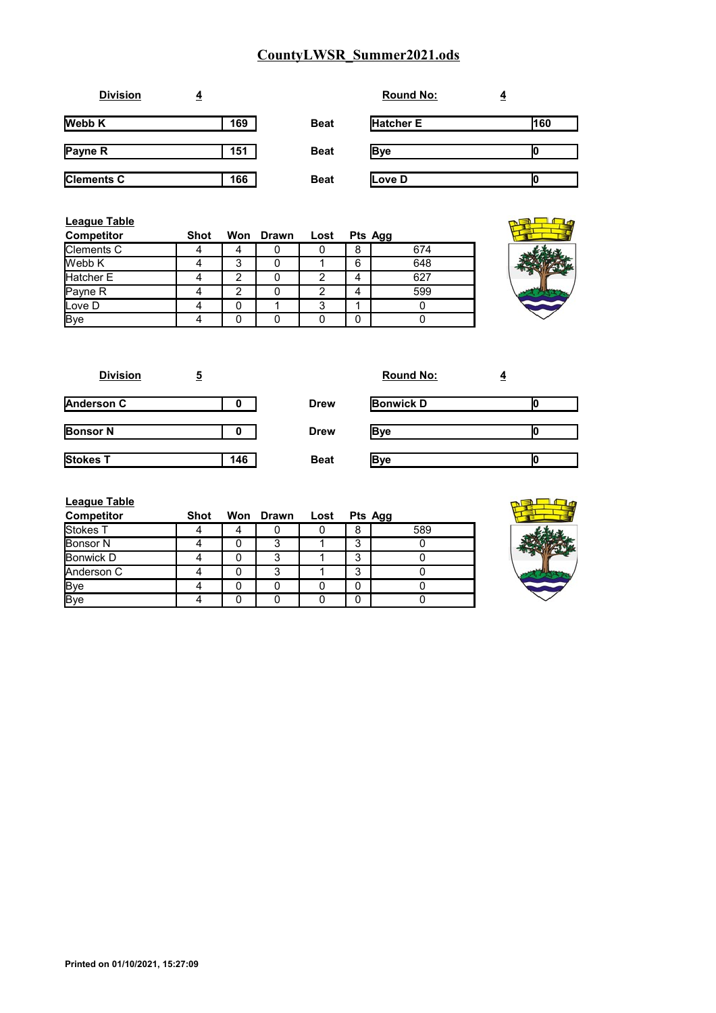| <b>Division</b>   | ₹   |             | <b>Round No:</b> |     |
|-------------------|-----|-------------|------------------|-----|
| <b>Webb K</b>     | 169 | <b>Beat</b> | <b>Hatcher E</b> | 160 |
| Payne R           | 151 | <b>Beat</b> | <b>B</b> ve      |     |
| <b>Clements C</b> | 166 | <b>Beat</b> | Love D           |     |

| League Table<br><b>Competitor</b> | Shot |   | Won Drawn Lost |   |   | Pts Agg |  |
|-----------------------------------|------|---|----------------|---|---|---------|--|
| Clements C                        |      | 4 |                |   | 8 | 674     |  |
| Webb K                            |      | 3 |                |   | 6 | 648     |  |
| Hatcher E                         |      | 2 |                |   | 4 | 627     |  |
| Payne R                           |      | 2 |                |   | 4 | 599     |  |
| Love D                            |      |   |                | 3 |   |         |  |
| <b>Bye</b>                        |      |   |                |   | 0 |         |  |



| <b>Division</b> | <u>5</u> |             | <b>Round No:</b> | $\overline{4}$ |
|-----------------|----------|-------------|------------------|----------------|
| Anderson C      |          | <b>Drew</b> | <b>Bonwick D</b> |                |
| <b>Bonsor N</b> |          | <b>Drew</b> | <b>Bye</b>       |                |
| <b>Stokes T</b> | 146      | <b>Beat</b> | <b>B</b> ve      |                |

| League Table      |             |                |   |         |
|-------------------|-------------|----------------|---|---------|
| <b>Competitor</b> | <b>Shot</b> | Won Drawn Lost |   | Pts Agg |
| Stokes T          |             |                | 8 | 589     |
| <b>Bonsor N</b>   |             | 3              | 3 |         |
| <b>Bonwick D</b>  |             | 3              | 3 |         |
| Anderson C        |             | 3              | 3 |         |
|                   |             |                | 0 |         |
| Bye<br>Bye        |             |                | U |         |

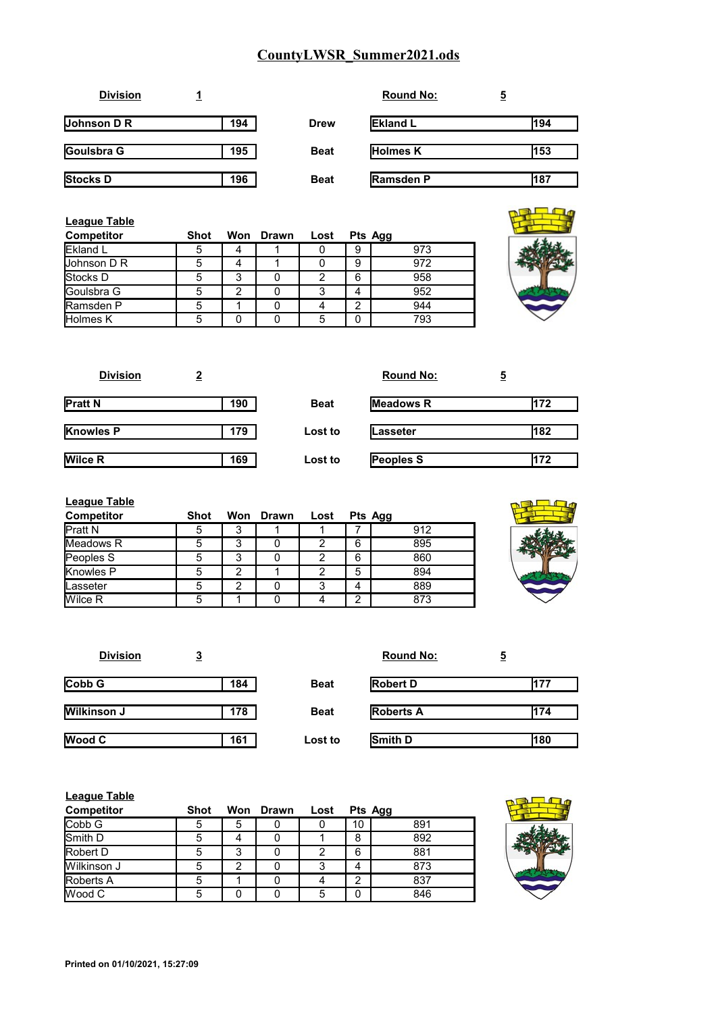| <b>Division</b> |     |             | <b>Round No:</b> | 5   |
|-----------------|-----|-------------|------------------|-----|
| Johnson D R     | 194 | Drew        | <b>Ekland L</b>  | 194 |
| Goulsbra G      | 195 | <b>Beat</b> | <b>Holmes K</b>  | 153 |
| <b>Stocks D</b> | 196 | <b>Beat</b> | <b>Ramsden P</b> | 187 |

| League Table<br><b>Competitor</b> | <b>Shot</b> |   | Won Drawn | Lost | Pts Agg |     |
|-----------------------------------|-------------|---|-----------|------|---------|-----|
| Ekland L                          | 5           | 4 |           |      | 9       | 973 |
| <b>Johnson D R</b>                |             | 4 |           |      | 9       | 972 |
| Stocks D                          |             | 3 |           |      | 6       | 958 |
| Goulsbra G                        |             | 2 |           | ິ    | 4       | 952 |
| Ramsden P                         | 5           |   |           |      | 2       | 944 |
| Holmes K                          |             |   |           | 5    | 0       | 793 |

| <b>Division</b>  | 2   |             | <b>Round No:</b> | 5   |
|------------------|-----|-------------|------------------|-----|
| <b>Pratt N</b>   | 190 | <b>Beat</b> | <b>Meadows R</b> | 172 |
| <b>Knowles P</b> | 179 | Lost to     | lLasseter        | 182 |
| <b>Wilce R</b>   | 169 | Lost to     | <b>Peoples S</b> | 172 |

| <b>League Table</b> |      |   |           |      |   |         |
|---------------------|------|---|-----------|------|---|---------|
| <b>Competitor</b>   | Shot |   | Won Drawn | Lost |   | Pts Agg |
| <b>Pratt N</b>      | 5    |   |           |      |   | 912     |
| Meadows R           | 5    | 3 |           | ◠    | 6 | 895     |
| Peoples S           | 5    | 3 |           |      | 6 | 860     |
| Knowles P           | 5    | っ |           |      | 5 | 894     |
| Lasseter            | 5    | ົ |           | ◠    | 4 | 889     |
| Wilce R             | 5    |   |           |      | ◠ | 873     |



| <b>Division</b>    | <u>3</u> |             | <b>Round No:</b> | 5   |
|--------------------|----------|-------------|------------------|-----|
| Cobb G             | 184      | <b>Beat</b> | <b>Robert D</b>  | 177 |
| <b>Wilkinson J</b> | 178      | <b>Beat</b> | <b>Roberts A</b> | 174 |
| Wood C             | 161      | Lost to     | Smith D          | 180 |

| <b>League Table</b> |      |     |              |      |                |         |  |
|---------------------|------|-----|--------------|------|----------------|---------|--|
| <b>Competitor</b>   | Shot | Won | <b>Drawn</b> | Lost |                | Pts Agg |  |
| Cobb G              | 5    | 5   |              |      | 10             | 891     |  |
| Smith D             | 5    | 4   |              |      | 8              | 892     |  |
| <b>Robert D</b>     | 5    | 3   |              | າ    | 6              | 881     |  |
| Wilkinson J         | 5    | າ   |              | 3    | 4              | 873     |  |
| <b>Roberts A</b>    | 5    |     |              |      | $\overline{2}$ | 837     |  |
| lWood C             | 5    |     |              | 5    | 0              | 846     |  |

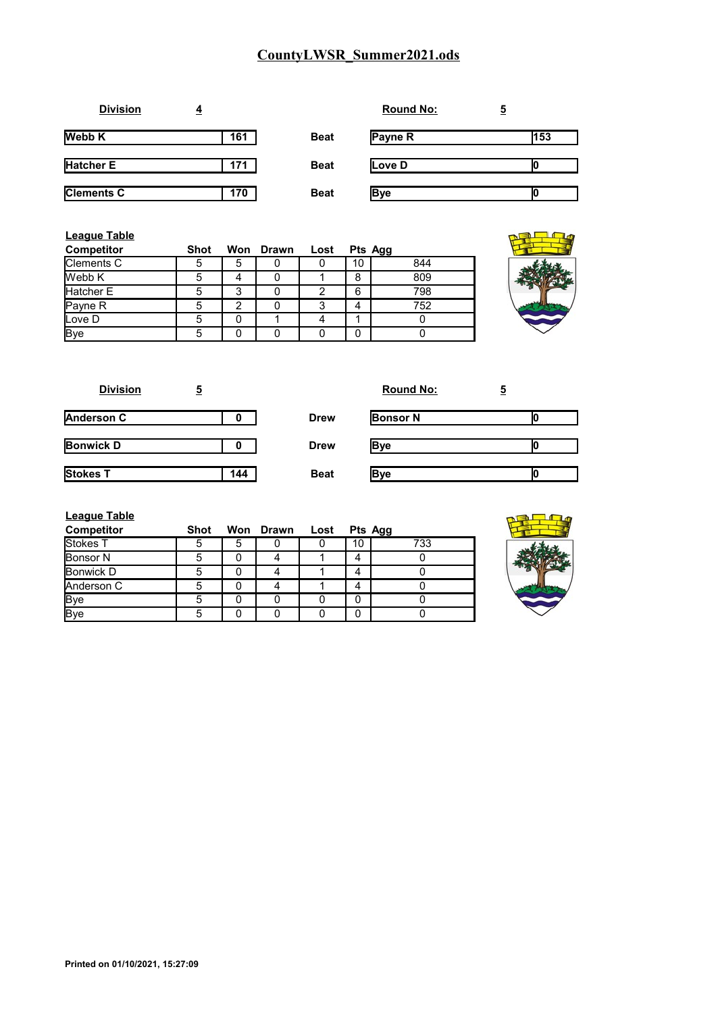| <b>Division</b>   | $\overline{4}$ |             | <b>Round No:</b> | <u>5</u> |
|-------------------|----------------|-------------|------------------|----------|
| <b>Webb K</b>     | 161            | <b>Beat</b> | Payne R          | 153      |
| <b>Hatcher E</b>  | 171            | <b>Beat</b> | Love D           |          |
| <b>Clements C</b> | 170            | <b>Beat</b> | <b>Bye</b>       |          |

| <b>League Table</b><br><b>Competitor</b> | Shot |   | Won Drawn | Lost | Pts Agg |     |
|------------------------------------------|------|---|-----------|------|---------|-----|
| Clements C                               |      | 5 |           |      | 10      | 844 |
| Webb K                                   |      |   |           |      | 8       | 809 |
| Hatcher E                                |      | 3 |           |      | 6       | 798 |
| Payne R                                  |      | ◠ |           |      | 4       | 752 |
| Love D                                   | 5    |   |           |      |         |     |
| <b>Bye</b>                               | 5    |   |           |      | 0       |     |

| <b>Division</b>   | <u>5</u> |             | <b>Round No:</b> | <u>5</u> |
|-------------------|----------|-------------|------------------|----------|
| <b>Anderson C</b> | 0        | <b>Drew</b> | <b>Bonsor N</b>  |          |
| <b>Bonwick D</b>  | o        | <b>Drew</b> | <b>Bye</b>       |          |
| Stokes T          | 144      | <b>Beat</b> | <b>Bye</b>       |          |

| League Table |  |  |
|--------------|--|--|
|              |  |  |

| <b>Competitor</b> | <b>Shot</b> |   | Won Drawn | Lost |    | Pts Agg |
|-------------------|-------------|---|-----------|------|----|---------|
| Stokes T          | 5           | 5 |           |      | 10 | 733     |
| <b>Bonsor N</b>   | 5           |   |           |      |    |         |
| Bonwick D         | 5           |   |           |      |    |         |
| Anderson C        | 5           |   |           |      |    |         |
| <b>Bye</b>        | 5           |   |           |      |    |         |
| <b>I</b> Bve      | 5           |   |           |      |    |         |

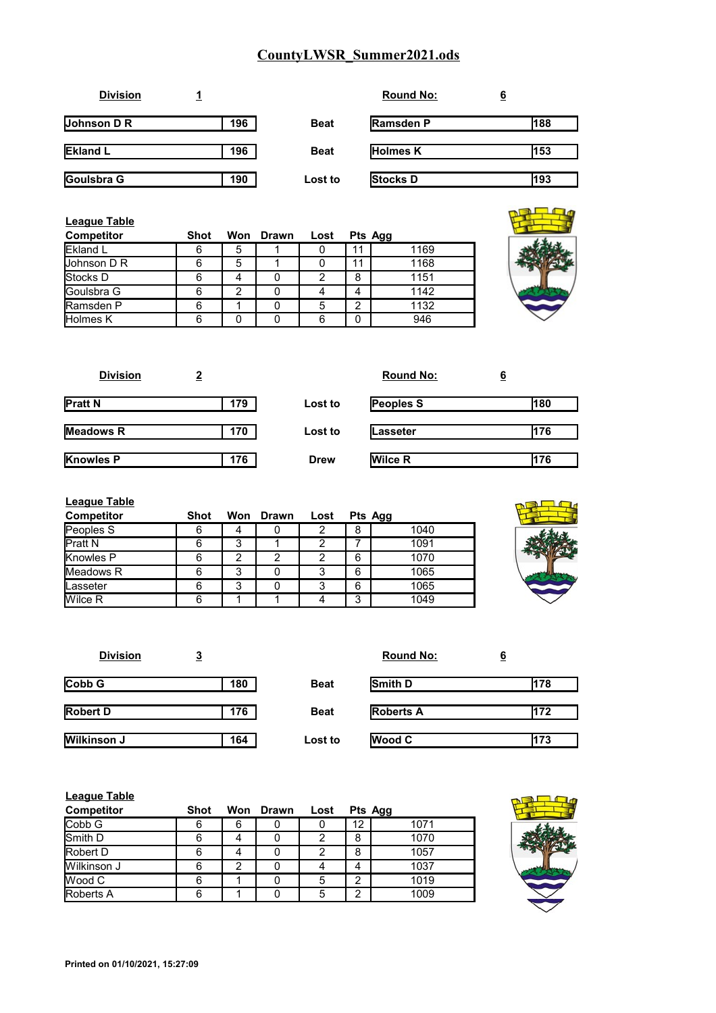| <b>Division</b> |     |             | <b>Round No:</b> | <u>6</u> |
|-----------------|-----|-------------|------------------|----------|
| Johnson D R     | 196 | <b>Beat</b> | <b>Ramsden P</b> | 188      |
| <b>Ekland L</b> | 196 | <b>Beat</b> | <b>Holmes K</b>  | 153      |
| Goulsbra G      | 190 | Lost to     | <b>Stocks D</b>  | 193      |

| League Table<br><b>Competitor</b> | <b>Shot</b> |   | Won Drawn | Lost |    | Pts Agg |  |
|-----------------------------------|-------------|---|-----------|------|----|---------|--|
| Ekland L                          | 6           | 5 |           | 0    | 11 | 1169    |  |
| Uohnson D R                       | 6           | 5 |           |      | 11 | 1168    |  |
| Stocks D                          | 6           |   |           | 2    | 8  | 1151    |  |
| Goulsbra G                        | 6           | 2 |           |      | 4  | 1142    |  |
| Ramsden P                         | 6           |   |           | 5    | ົ  | 1132    |  |
| Holmes K                          | 6           | 0 |           | 6    | 0  | 946     |  |

| <b>Division</b>  |     |             | <b>Round No:</b> | <u>6</u> |
|------------------|-----|-------------|------------------|----------|
| <b>Pratt N</b>   | 179 | Lost to     | <b>Peoples S</b> | 180      |
| <b>Meadows R</b> | 170 | Lost to     | Lasseter         | 176      |
| <b>Knowles P</b> | 176 | <b>Drew</b> | <b>Wilce R</b>   | 176      |

| <b>League Table</b> |      |   |           |      |   |         |
|---------------------|------|---|-----------|------|---|---------|
| <b>Competitor</b>   | Shot |   | Won Drawn | Lost |   | Pts Agg |
| Peoples S           | 6    | 4 |           | 2    | 8 | 1040    |
| Pratt <sub>N</sub>  | 6    | 3 |           |      |   | 1091    |
| Knowles P           | 6    | 2 | 2         | 2    | 6 | 1070    |
| Meadows R           | 6    | 3 |           | 3    | 6 | 1065    |
| Lasseter            | 6    | 3 | 0         | 3    | 6 | 1065    |
| Wilce R             | 6    |   |           |      | 3 | 1049    |



s.

| <b>Division</b> | <u>3</u> |             | <b>Round No:</b> | <u>6</u> |
|-----------------|----------|-------------|------------------|----------|
| Cobb G          | 180      | <b>Beat</b> | Smith D          | 178      |
| <b>Robert D</b> | 176      | <b>Beat</b> | <b>Roberts A</b> | 172      |
| Wilkinson J     | 164      | Lost to     | <b>Wood C</b>    | 173      |

| <b>League Table</b> |      |     |       |      |         |      |
|---------------------|------|-----|-------|------|---------|------|
| <b>Competitor</b>   | Shot | Won | Drawn | Lost | Pts Agg |      |
| Cobb G              | 6    | 6   |       |      | 12      | 1071 |
| Smith D             | 6    |     |       | 2    | 8       | 1070 |
| <b>Robert D</b>     | 6    |     |       | ◠    | 8       | 1057 |
| <b>Wilkinson J</b>  | 6    | າ   |       |      | 4       | 1037 |
| lWood C             | 6    |     |       | 5    | 2       | 1019 |
| <b>Roberts A</b>    | 6    |     |       | 5    | ◠       | 1009 |

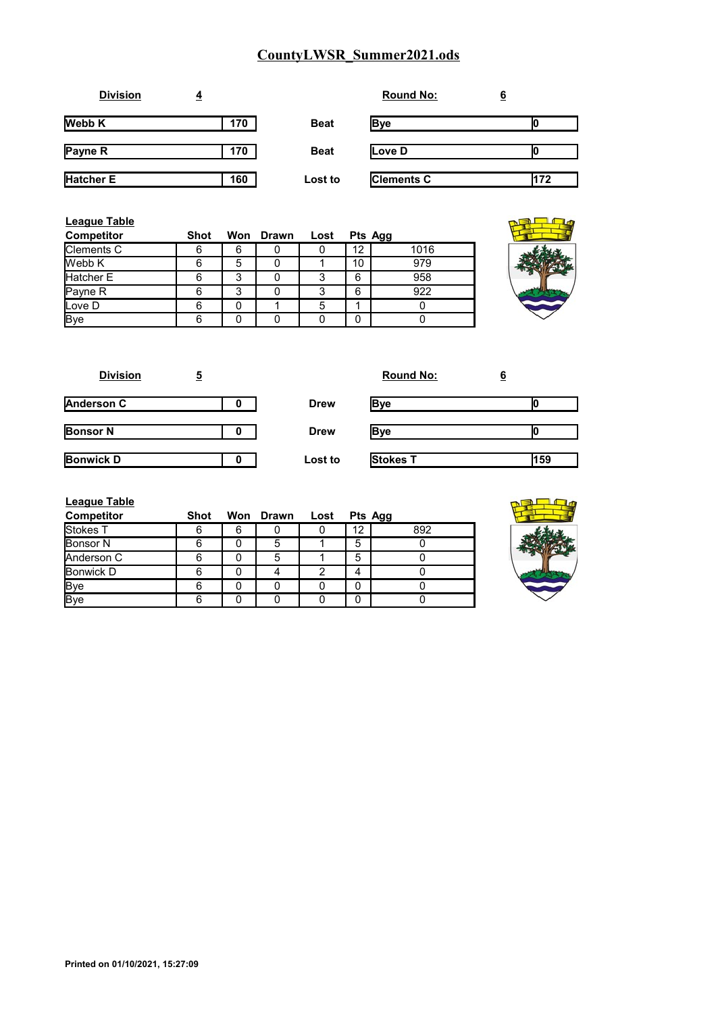| <b>Division</b>  | ₹   |             | <b>Round No:</b>  | <u>6</u> |
|------------------|-----|-------------|-------------------|----------|
| <b>Webb K</b>    | 170 | <b>Beat</b> | Bye               |          |
| Payne R          | 170 | <b>Beat</b> | Love D            |          |
| <b>Hatcher E</b> | 160 | Lost to     | <b>Clements C</b> | 172      |

| League Table<br><b>Competitor</b> | <b>Shot</b> |   | Won Drawn | Lost |    | Pts Agg |
|-----------------------------------|-------------|---|-----------|------|----|---------|
| Clements C                        |             | 6 |           |      | 12 | 1016    |
| Webb K                            |             | 5 |           |      | 10 | 979     |
| Hatcher E                         |             | 3 |           |      | 6  | 958     |
| Payne R                           |             | 3 |           |      | 6  | 922     |
| Love D                            |             |   |           |      |    |         |
| <b>Bye</b>                        |             |   |           |      | 0  |         |

| <b>Division</b>  | 5 |             | <b>Round No:</b> | 6   |
|------------------|---|-------------|------------------|-----|
| Anderson C       | O | <b>Drew</b> | Bye              |     |
| <b>Bonsor N</b>  | 0 | <b>Drew</b> | Bye              |     |
| <b>Bonwick D</b> |   | Lost to     | Stokes T         | 159 |

| <b>League Table</b> |      |   |                |   |    |         |
|---------------------|------|---|----------------|---|----|---------|
| <b>Competitor</b>   | Shot |   | Won Drawn Lost |   |    | Pts Agg |
| Stokes T            | 6    | 6 |                |   | 12 | 892     |
| <b>Bonsor N</b>     | հ    |   | 5              |   | 5  |         |
| Anderson C          | հ    |   | 5              |   | 5  |         |
| Bonwick D           | հ    |   |                | っ |    |         |
| <b>Bye</b>          | 6    |   |                |   | 0  |         |
| <b>Bye</b>          |      |   |                |   |    |         |

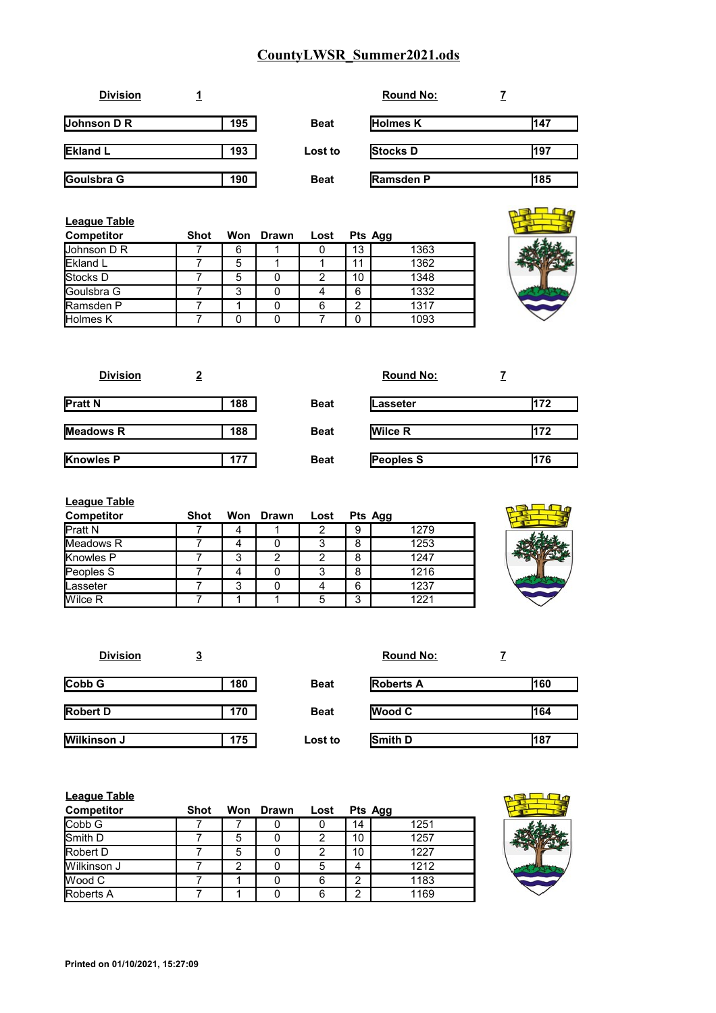| <b>Division</b>    |     |             | <b>Round No:</b> |     |
|--------------------|-----|-------------|------------------|-----|
| <b>Johnson D R</b> | 195 | <b>Beat</b> | <b>Holmes K</b>  | 147 |
| <b>Ekland L</b>    | 193 | Lost to     | <b>Stocks D</b>  | 197 |
| Goulsbra G         | 190 | <b>Beat</b> | <b>Ramsden P</b> | 185 |

| League Table<br><b>Competitor</b> | Shot |   | Won Drawn | Lost | Pts Agg |      |
|-----------------------------------|------|---|-----------|------|---------|------|
| <b>Johnson D R</b>                |      | 6 |           |      | 13      | 1363 |
| <b>IEkland L</b>                  |      | 5 |           |      | 11      | 1362 |
| <b>Stocks D</b>                   |      | 5 |           | າ    | 10      | 1348 |
| <b>IGoulsbra G</b>                |      | 3 |           |      | 6       | 1332 |
| <b>Ramsden P</b>                  |      |   |           |      | 2       | 1317 |
| Holmes K                          |      | O |           |      | 0       | 1093 |

| <b>Division</b>  |     |             | <b>Round No:</b> |     |
|------------------|-----|-------------|------------------|-----|
| <b>Pratt N</b>   | 188 | <b>Beat</b> | Lasseter         | 172 |
| Meadows R        | 188 | <b>Beat</b> | <b>Wilce R</b>   | 172 |
| <b>Knowles P</b> | 177 | <b>Beat</b> | Peoples S        | 176 |

| <b>League Table</b> |      |   |                |   |        |         |  |
|---------------------|------|---|----------------|---|--------|---------|--|
| <b>Competitor</b>   | Shot |   | Won Drawn Lost |   |        | Pts Agg |  |
| <b>Pratt N</b>      |      | 4 |                |   | 9      | 1279    |  |
| Meadows R           |      | 4 |                | 3 | 8      | 1253    |  |
| <b>Knowles P</b>    |      | 3 |                | 2 | 8      | 1247    |  |
| Peoples S           |      | 4 |                | 3 | 8      | 1216    |  |
| Lasseter            |      | 3 |                |   | 6      | 1237    |  |
| <b>Wilce R</b>      |      |   |                | 5 | ર<br>ື | 1221    |  |

| <b>Division</b> | <u>3</u> |             | <b>Round No:</b> |     |
|-----------------|----------|-------------|------------------|-----|
| Cobb G          | 180      | <b>Beat</b> | <b>Roberts A</b> | 160 |
| <b>Robert D</b> | 170      | <b>Beat</b> | <b>Wood C</b>    | 164 |
| Wilkinson J     | 175      | Lost to     | Smith D          | 187 |

| <b>League Table</b> |             |     |       |      |    |         |  |
|---------------------|-------------|-----|-------|------|----|---------|--|
| <b>Competitor</b>   | <b>Shot</b> | Won | Drawn | Lost |    | Pts Agg |  |
| Cobb G              |             |     |       |      | 14 | 1251    |  |
| <b>Smith D</b>      |             | 5   |       | 2    | 10 | 1257    |  |
| <b>Robert D</b>     |             | 5   |       | 2    | 10 | 1227    |  |
| Wilkinson J         |             | 2   |       |      | 4  | 1212    |  |
| <b>IWood C</b>      |             |     |       | 6    | ◠  | 1183    |  |
| <b>Roberts A</b>    |             |     |       | 6    | ◠  | 1169    |  |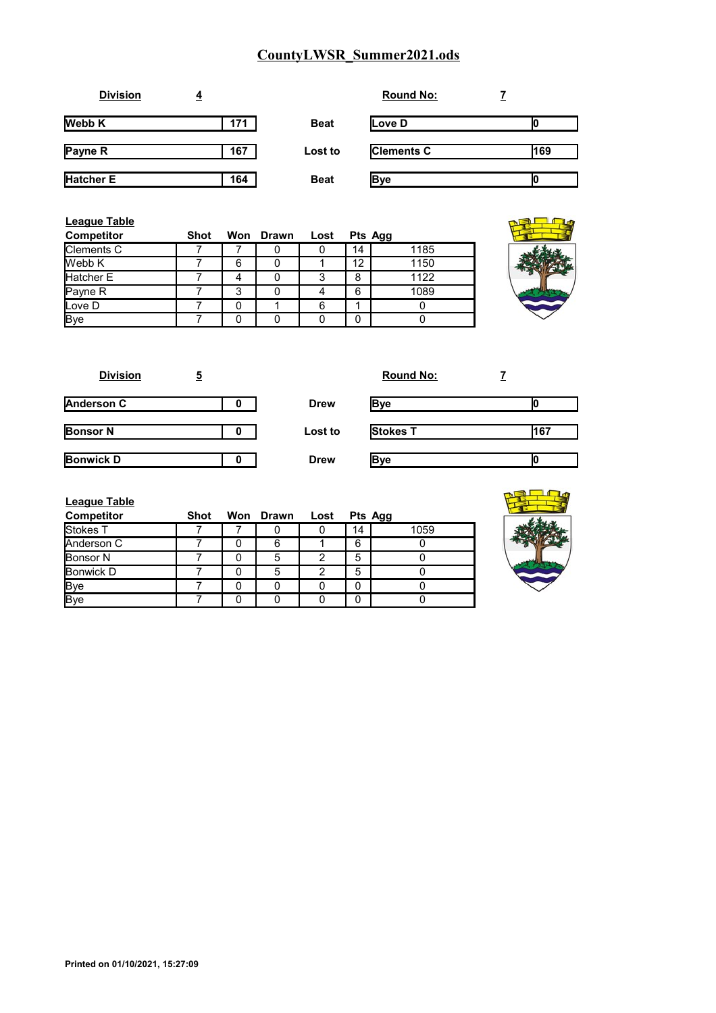| <b>Division</b>  | $\overline{4}$ |             | <b>Round No:</b>  |     |
|------------------|----------------|-------------|-------------------|-----|
| <b>Webb K</b>    | 171            | <b>Beat</b> | Love D            |     |
| <b>Payne R</b>   | 167            | Lost to     | <b>Clements C</b> | 169 |
| <b>Hatcher E</b> | 164            | <b>Beat</b> | <b>Bye</b>        | Ю   |

| League Table<br><b>Competitor</b> | Shot |   | Won Drawn | Lost |    | Pts Agg |  |
|-----------------------------------|------|---|-----------|------|----|---------|--|
| Clements C                        |      |   |           |      | 14 | 1185    |  |
| Webb K                            |      | 6 |           |      | 12 | 1150    |  |
| Hatcher E                         |      |   |           | 3    | 8  | 1122    |  |
| Payne R                           |      | 3 |           |      | 6  | 1089    |  |
| Love D                            |      |   |           | 6    |    |         |  |
| <b>Bye</b>                        |      |   |           |      | 0  |         |  |

| <b>Division</b>   | 5 |             | <b>Round No:</b> |     |
|-------------------|---|-------------|------------------|-----|
| <b>Anderson C</b> |   | <b>Drew</b> | Bye              |     |
| <b>Bonsor N</b>   | o | Lost to     | Stokes T         | 167 |
| <b>Bonwick D</b>  |   | <b>Drew</b> | Bye              |     |

| <b>League Table</b> |      |                |   |    |         |
|---------------------|------|----------------|---|----|---------|
| Competitor          | Shot | Won Drawn Lost |   |    | Pts Agg |
| Stokes T            |      |                |   | 14 | 1059    |
| Anderson C          |      | 6              |   | 6  |         |
| <b>Bonsor N</b>     |      | 5              | 2 | 5  |         |
| <b>Bonwick D</b>    |      | 5              | 2 | 5  |         |
| <b>Bye</b>          |      |                |   |    |         |
| Bye                 |      |                |   |    |         |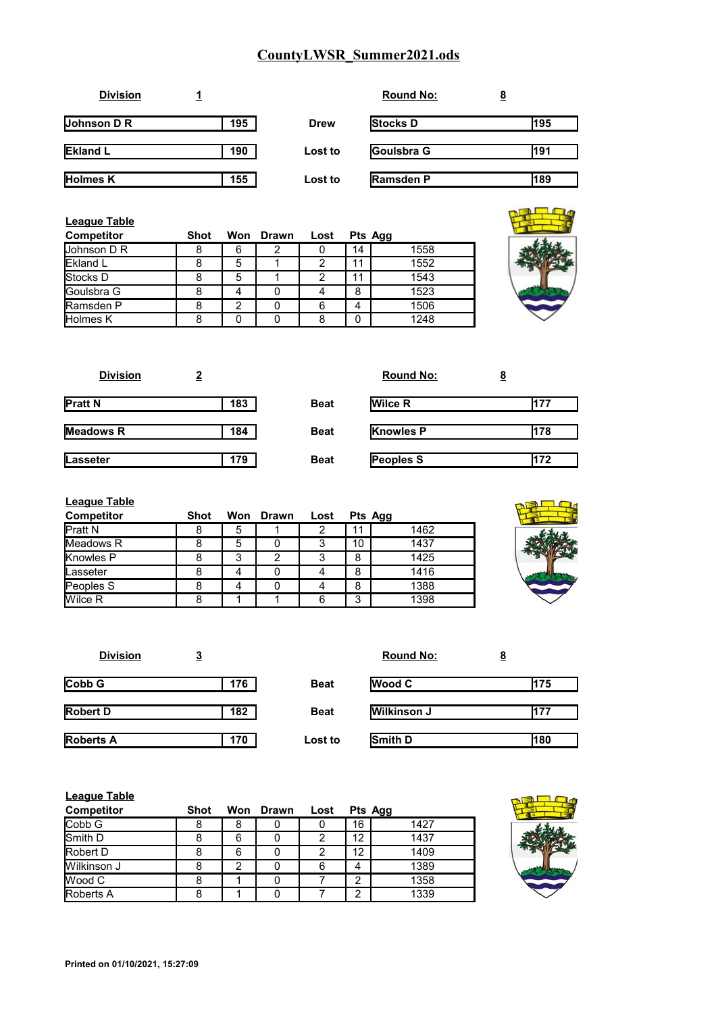| <b>Division</b> |     |             | <b>Round No:</b> | <u>8</u> |
|-----------------|-----|-------------|------------------|----------|
| Johnson $D R$   | 195 | <b>Drew</b> | <b>Stocks D</b>  | 195      |
| <b>Ekland L</b> | 190 | Lost to     | Goulsbra G       | 191      |
| <b>Holmes K</b> | 155 | Lost to     | <b>Ramsden P</b> | 189      |

| <b>League Table</b><br><b>Competitor</b> | Shot |   | Won Drawn | Lost | Pts Agg |      |  |
|------------------------------------------|------|---|-----------|------|---------|------|--|
| Johnson D R                              | 8    | 6 | 2         |      | 14      | 1558 |  |
| Ekland L                                 |      | 5 |           | 2    | 11      | 1552 |  |
| <b>Stocks D</b>                          |      | 5 |           | ≘    | 11      | 1543 |  |
| Goulsbra G                               | 8    |   |           |      | 8       | 1523 |  |
| Ramsden P                                |      | っ |           | 6    | 4       | 1506 |  |
| <b>Holmes K</b>                          |      |   |           |      | n       | 1248 |  |

| <b>Division</b> |     |             | <b>Round No:</b> | <u>8</u> |
|-----------------|-----|-------------|------------------|----------|
| <b>Pratt N</b>  | 183 | <b>Beat</b> | <b>Wilce R</b>   | 177      |
| Meadows R       | 184 | <b>Beat</b> | <b>Knowles P</b> | 178      |
| Lasseter        | 179 | <b>Beat</b> | Peoples S        | 172      |

| <b>League Table</b> |      |   |           |      |         |      |
|---------------------|------|---|-----------|------|---------|------|
| <b>Competitor</b>   | Shot |   | Won Drawn | Lost | Pts Agg |      |
| <b>Pratt N</b>      | ŏ    | 5 |           |      |         | 1462 |
| Meadows R           | 8    | 5 |           |      | 10      | 1437 |
| Knowles P           |      | 3 |           |      | 8       | 1425 |
| Lasseter            | 8    |   |           |      | 8       | 1416 |
| Peoples S           | 8    |   |           |      | 8       | 1388 |
| Wilce R             | 8    |   |           | 6    | 3       | 1398 |



| <b>Division</b>  | <u>3</u> |             | <b>Round No:</b>   | <u>8</u> |
|------------------|----------|-------------|--------------------|----------|
| Cobb G           | 176      | <b>Beat</b> | <b>Wood C</b>      | 175      |
| <b>Robert D</b>  | 182      | <b>Beat</b> | <b>Wilkinson J</b> | 177      |
| <b>Roberts A</b> | 170      | Lost to     | Smith D            | 180      |

| <b>League Table</b> |      |   |           |      |    |         |   |
|---------------------|------|---|-----------|------|----|---------|---|
| <b>Competitor</b>   | Shot |   | Won Drawn | Lost |    | Pts Agg |   |
| Cobb G              |      | 8 |           |      | 16 | 1427    |   |
| <b>Smith D</b>      |      | 6 |           |      | 12 | 1437    | Ą |
| Robert D            |      | 6 |           |      | 12 | 1409    |   |
| Wilkinson J         |      | 2 |           | 6    | 4  | 1389    |   |
| <b>I</b> Wood C     |      |   |           |      | っ  | 1358    |   |
| <b>Roberts A</b>    |      |   |           |      | 2  | 1339    |   |

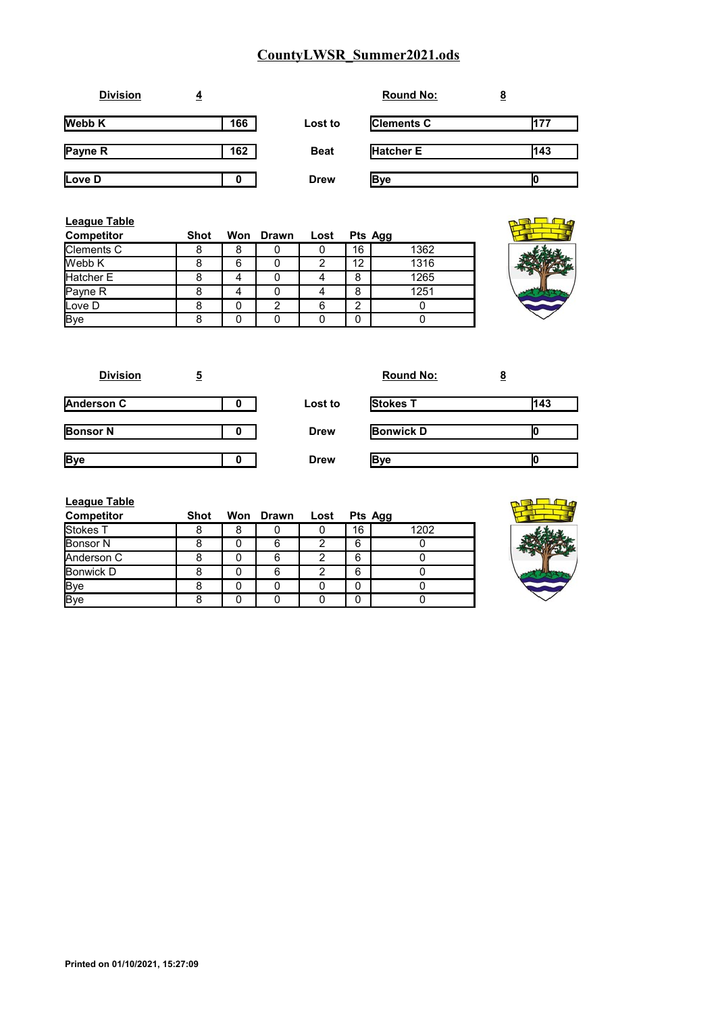| <b>Division</b> | 4   |             | <b>Round No:</b>  | <u>8</u> |
|-----------------|-----|-------------|-------------------|----------|
| <b>Webb K</b>   | 166 | Lost to     | <b>Clements C</b> | 177      |
| Payne R         | 162 | <b>Beat</b> | <b>Hatcher E</b>  | 143      |
| Love D          | 0   | <b>Drew</b> | <b>Bye</b>        | Ю        |

| League Table<br><b>Competitor</b> | <b>Shot</b> |   | Won Drawn | Lost |    | Pts Agg |  |
|-----------------------------------|-------------|---|-----------|------|----|---------|--|
| Clements C                        | 8           | 8 |           |      | 16 | 1362    |  |
| Webb K                            |             | 6 |           |      | 12 | 1316    |  |
| Hatcher E                         |             |   |           |      | 8  | 1265    |  |
| Payne R                           |             |   |           |      | 8  | 1251    |  |
| Love D                            |             |   | 2         |      | ◠  |         |  |
| <b>Bye</b>                        |             |   |           |      | 0  |         |  |

| <b>Division</b>   | 5 |             | <b>Round No:</b> | <u>8</u> |
|-------------------|---|-------------|------------------|----------|
| <b>Anderson C</b> | o | Lost to     | <b>Stokes T</b>  | 143      |
| <b>Bonsor N</b>   | o | <b>Drew</b> | <b>Bonwick D</b> |          |
| <b>Bye</b>        |   | <b>Drew</b> | <b>Bye</b>       |          |

| <b>League Table</b> |      |           |      |    |         |
|---------------------|------|-----------|------|----|---------|
| <b>Competitor</b>   | Shot | Won Drawn | Lost |    | Pts Agg |
| Stokes T            |      |           |      | 16 | 1202    |
| Bonsor <sub>N</sub> |      | 6         | ◠    | 6  |         |
| Anderson C          |      | 6         |      | 6  |         |
| Bonwick D           |      | 6         | ົ    | 6  |         |
| <b>Bye</b>          |      |           |      | 0  |         |
| <b>Bye</b>          |      |           |      | 0  |         |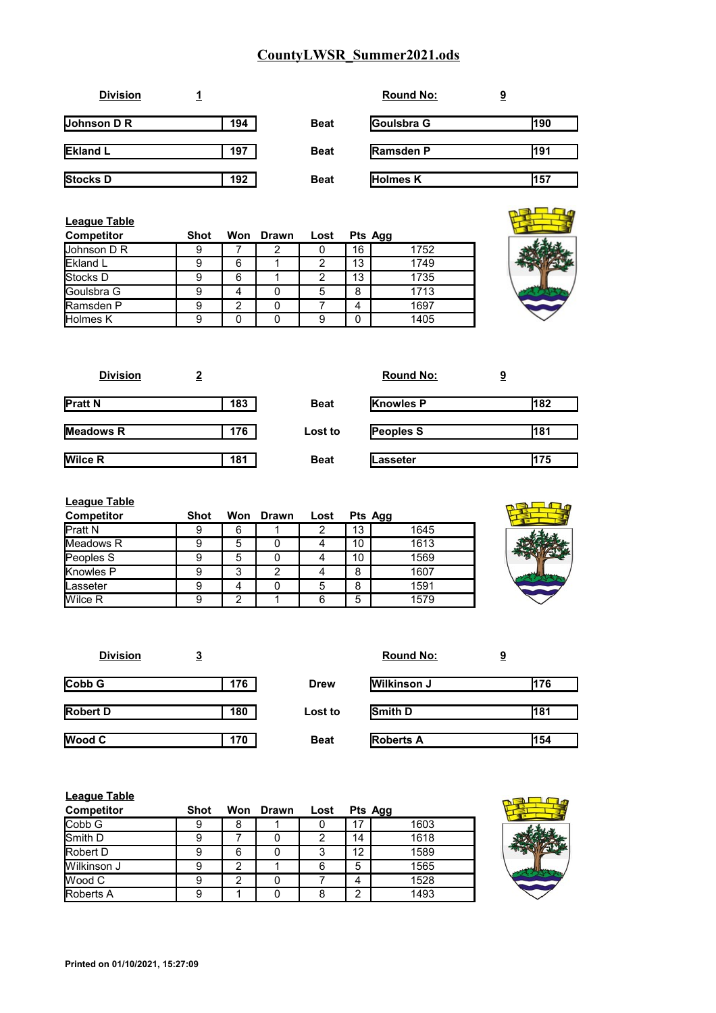| <b>Division</b> |     |             | <b>Round No:</b> | <u>9</u> |
|-----------------|-----|-------------|------------------|----------|
| Johnson D R     | 194 | <b>Beat</b> | Goulsbra G       | 190      |
| <b>Ekland L</b> | 197 | <b>Beat</b> | <b>Ramsden P</b> | 191      |
| Stocks D        | 192 | <b>Beat</b> | <b>Holmes K</b>  | 157      |

| <b>League Table</b><br><b>Competitor</b> | Shot |                | Won Drawn | Lost |    | Pts Agg |
|------------------------------------------|------|----------------|-----------|------|----|---------|
| <b>Johnson D R</b>                       |      |                | 2         | 0    | 16 | 1752    |
| <b>IEkland L</b>                         |      | 6              |           | 2    | 13 | 1749    |
| <b>Stocks</b> D                          |      | 6              |           | 2    | 13 | 1735    |
| <b>IGoulsbra G</b>                       |      | 4              |           | 5    | 8  | 1713    |
| <b>Ramsden P</b>                         |      | $\mathfrak{p}$ |           |      | 4  | 1697    |
| <b>Holmes K</b>                          |      |                |           | 9    | 0  | 1405    |

| <b>Division</b>  |     |             | <b>Round No:</b> | <u>9</u> |
|------------------|-----|-------------|------------------|----------|
| <b>Pratt N</b>   | 183 | <b>Beat</b> | <b>Knowles P</b> | 182      |
| <b>Meadows R</b> | 176 | Lost to     | <b>Peoples S</b> | 181      |
| <b>Wilce R</b>   | 181 | <b>Beat</b> | Lasseter         | 175      |

| League Table<br><b>Competitor</b> | Shot | Won | Drawn | Lost |    | Pts Agg |  |
|-----------------------------------|------|-----|-------|------|----|---------|--|
| <b>Pratt N</b>                    |      | 6   |       | 2    | 13 | 1645    |  |
| Meadows R                         |      | 5   |       | 4    | 10 | 1613    |  |
| Peoples S                         |      | 5   |       | 4    | 10 | 1569    |  |
| Knowles P                         | 9    | 3   | 2     |      | 8  | 1607    |  |
| <b>Lasseter</b>                   | 9    |     |       | 5    | 8  | 1591    |  |
| Wilce R                           |      | ົ   |       | 6    | 5  | 1579    |  |

| <b>Division</b> | <u>3</u> |             | <b>Round No:</b> | <u>9</u> |
|-----------------|----------|-------------|------------------|----------|
| Cobb G          | 176      | <b>Drew</b> | Wilkinson J      | 176      |
| <b>Robert D</b> | 180      | Lost to     | Smith D          | 181      |
| <b>Wood C</b>   | 170      | <b>Beat</b> | <b>Roberts A</b> | 154      |

| <b>League Table</b> |             |   |           |      |         |      |  |
|---------------------|-------------|---|-----------|------|---------|------|--|
| <b>Competitor</b>   | <b>Shot</b> |   | Won Drawn | Lost | Pts Agg |      |  |
| Cobb G              | 9           | 8 |           |      | 17      | 1603 |  |
| <b>Smith D</b>      | 9           |   |           |      | 14      | 1618 |  |
| <b>Robert D</b>     | 9           | 6 |           |      | 12      | 1589 |  |
| Wilkinson J         | 9           | 2 |           | 6    | 5       | 1565 |  |
| <b>I</b> Wood C     | 9           | າ |           |      | 4       | 1528 |  |
| <b>Roberts A</b>    | 9           |   |           |      | າ       | 1493 |  |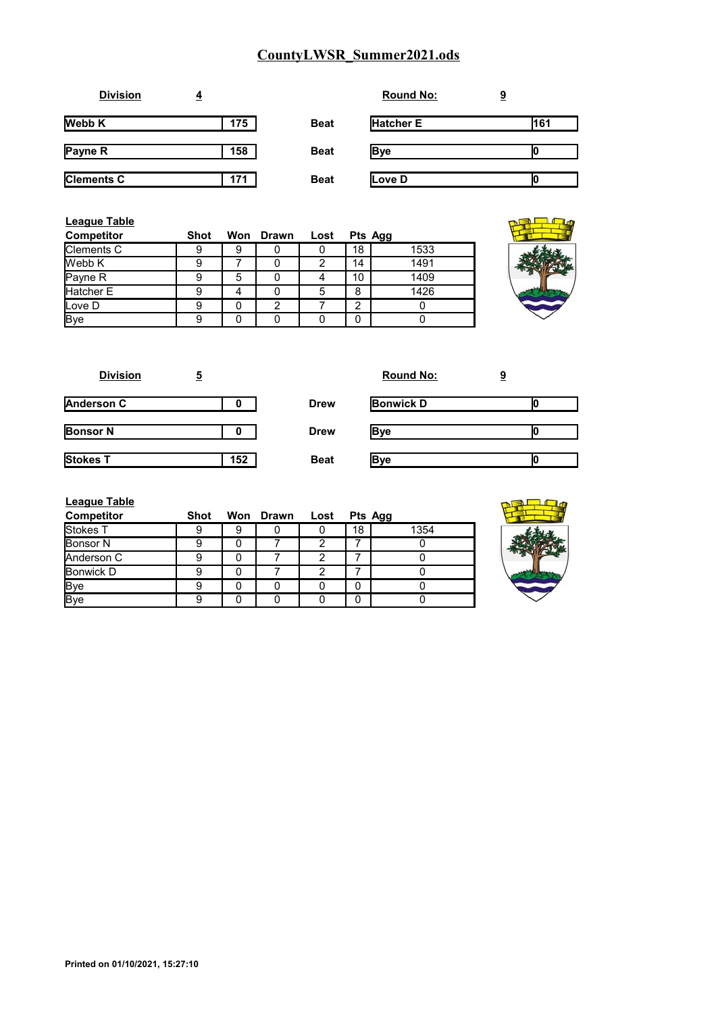| <b>Division</b>   | $\overline{4}$ |             | <b>Round No:</b> | <u>9</u> |
|-------------------|----------------|-------------|------------------|----------|
| <b>Webb K</b>     | 175            | <b>Beat</b> | <b>Hatcher E</b> | 161      |
| Payne R           | 158            | <b>Beat</b> | <b>Bye</b>       |          |
| <b>Clements C</b> | 171            | <b>Beat</b> | Love D           |          |

| <b>League Table</b><br><b>Competitor</b> | <b>Shot</b> |   | Won Drawn | Lost |    | Pts Agg |  |
|------------------------------------------|-------------|---|-----------|------|----|---------|--|
| Clements C                               | 9           | 9 |           |      | 18 | 1533    |  |
| Webb K                                   | 9           |   |           |      | 14 | 1491    |  |
| Payne R                                  | 9           | 5 |           |      | 10 | 1409    |  |
| Hatcher E                                | 9           | 4 |           |      | 8  | 1426    |  |
| Love D                                   | 9           | 0 | 2         |      | C  |         |  |
| <b>Bye</b>                               | 9           | 0 |           |      | 0  |         |  |

| <b>Division</b>   | 5   |             | <b>Round No:</b> | 9 |
|-------------------|-----|-------------|------------------|---|
| <b>Anderson C</b> |     | <b>Drew</b> | <b>Bonwick D</b> |   |
| <b>Bonsor N</b>   |     | <b>Drew</b> | Bve              |   |
| <b>Stokes T</b>   | 152 | <b>Beat</b> | lBve             |   |

| League Table      |      |   |                |    |         |
|-------------------|------|---|----------------|----|---------|
| <b>Competitor</b> | Shot |   | Won Drawn Lost |    | Pts Agg |
| Stokes T          |      | 9 |                | 18 | 1354    |
| <b>Bonsor N</b>   |      |   |                |    |         |
| Anderson C        |      |   |                |    |         |
| Bonwick D         |      |   |                |    |         |
| <b>Bye</b>        |      |   |                | 0  |         |
| Bye               |      |   |                |    |         |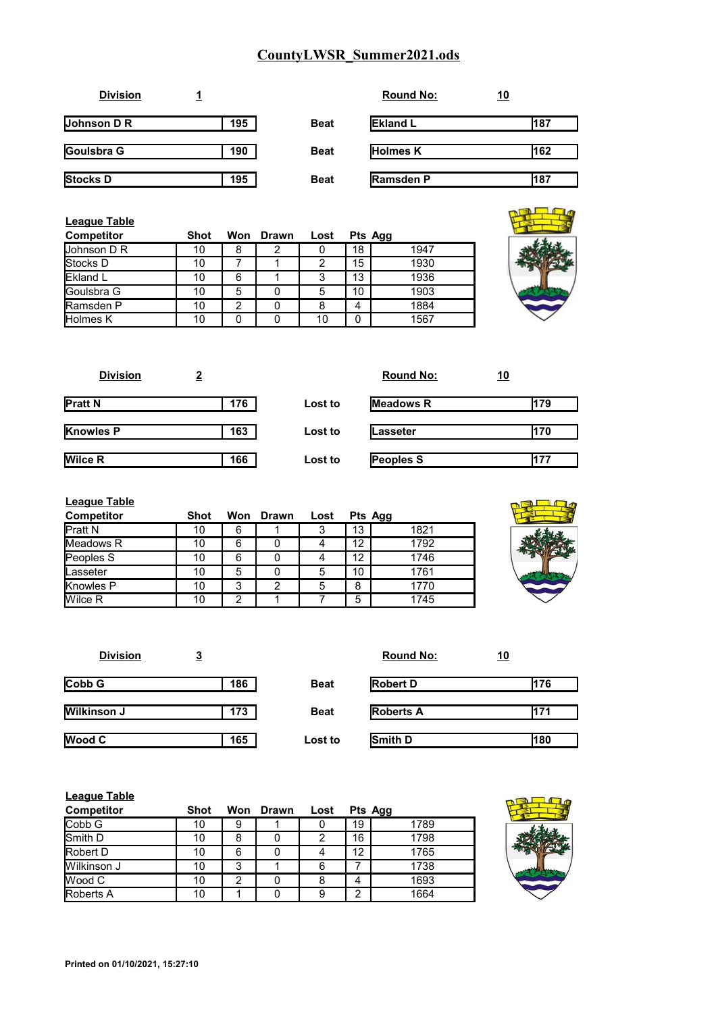| <b>Division</b>    |     |             | <b>Round No:</b> | <u>10</u> |
|--------------------|-----|-------------|------------------|-----------|
| <b>Johnson D R</b> | 195 | <b>Beat</b> | <b>Ekland L</b>  | 187       |
| Goulsbra G         | 190 | <b>Beat</b> | <b>Holmes K</b>  | 162       |
| <b>Stocks D</b>    | 195 | <b>Beat</b> | <b>Ramsden P</b> | 187       |

| League Table<br><b>Competitor</b> | Shot |   | Won Drawn | Lost |    | Pts Agg |
|-----------------------------------|------|---|-----------|------|----|---------|
| <b>Johnson D R</b>                | 10   | 8 | 2         | υ    | 18 | 1947    |
| <b>Stocks</b> D                   | 10   |   |           | 2    | 15 | 1930    |
| <b>IEkland L</b>                  | 10   | 6 |           | 3    | 13 | 1936    |
| <b>IGoulsbra G</b>                | 10   | 5 |           | 5    | 10 | 1903    |
| Ramsden P                         | 10   | າ |           |      | 4  | 1884    |
| <b>Holmes K</b>                   | 10   | 0 |           | 10   | 0  | 1567    |

| <b>Division</b>  | 2   |         | <b>Round No:</b> | <u> 10</u> |
|------------------|-----|---------|------------------|------------|
| <b>Pratt N</b>   | 176 | Lost to | <b>Meadows R</b> | 179        |
| <b>Knowles P</b> | 163 | Lost to | Lasseter         | l170       |
| <b>Wilce R</b>   | 166 | Lost to | Peoples S        | 177        |

| <b>League Table</b> |      |     |       |      |         |      |
|---------------------|------|-----|-------|------|---------|------|
| Competitor          | Shot | Won | Drawn | Lost | Pts Agg |      |
| <b>Pratt N</b>      | 10   | 6   |       | 3    | 13      | 1821 |
| <b>Meadows R</b>    | 10   | 6   |       |      | 12      | 1792 |
| Peoples S           | 10   | 6   |       |      | 12      | 1746 |
| Lasseter            | 10   | 5   |       | 5    | 10      | 1761 |
| <b>Knowles P</b>    | 10   | 3   | 2     | 5    | 8       | 1770 |
| <b>Wilce R</b>      | 10   | 2   |       |      | 5       | 1745 |

| <b>Division</b>    | <u>3</u> |             | <b>Round No:</b> | <u>10</u> |
|--------------------|----------|-------------|------------------|-----------|
| Cobb G             | 186      | <b>Beat</b> | <b>Robert D</b>  | 176       |
| <b>Wilkinson J</b> | 173      | <b>Beat</b> | <b>Roberts A</b> | 171       |
| Wood C             | 165      | Lost to     | Smith D          | 180       |

| <b>League Table</b> |             |   |           |      |         |      |  |
|---------------------|-------------|---|-----------|------|---------|------|--|
| <b>Competitor</b>   | <b>Shot</b> |   | Won Drawn | Lost | Pts Agg |      |  |
| Cobb G              | 10          | 9 |           |      | 19      | 1789 |  |
| <b>Smith D</b>      | 10          | 8 |           |      | 16      | 1798 |  |
| <b>Robert D</b>     | 10          | 6 |           | 4    | 12      | 1765 |  |
| Wilkinson J         | 10          | 3 |           | 6    |         | 1738 |  |
| <b>IWood C</b>      | 10          | 2 |           | 8    | 4       | 1693 |  |
| Roberts A           | 10          |   |           | 9    | ◠       | 1664 |  |